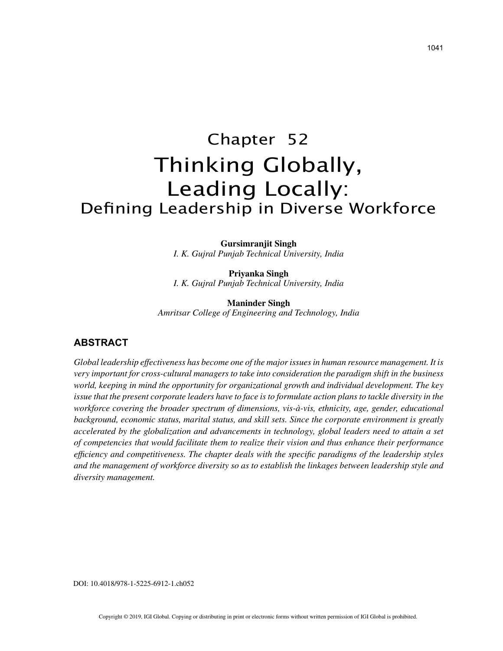# Chapter 52 Thinking Globally, Leading Locally: Defining Leadership in Diverse Workforce

**Gursimranjit Singh** *I. K. Gujral Punjab Technical University, India*

**Priyanka Singh** *I. K. Gujral Punjab Technical University, India*

**Maninder Singh** *Amritsar College of Engineering and Technology, India*

## **ABSTRACT**

*Global leadership effectiveness has become one of the major issues in human resource management. It is very important for cross-cultural managers to take into consideration the paradigm shift in the business world, keeping in mind the opportunity for organizational growth and individual development. The key issue that the present corporate leaders have to face is to formulate action plans to tackle diversity in the workforce covering the broader spectrum of dimensions, vis-à-vis, ethnicity, age, gender, educational background, economic status, marital status, and skill sets. Since the corporate environment is greatly accelerated by the globalization and advancements in technology, global leaders need to attain a set of competencies that would facilitate them to realize their vision and thus enhance their performance efficiency and competitiveness. The chapter deals with the specific paradigms of the leadership styles and the management of workforce diversity so as to establish the linkages between leadership style and diversity management.*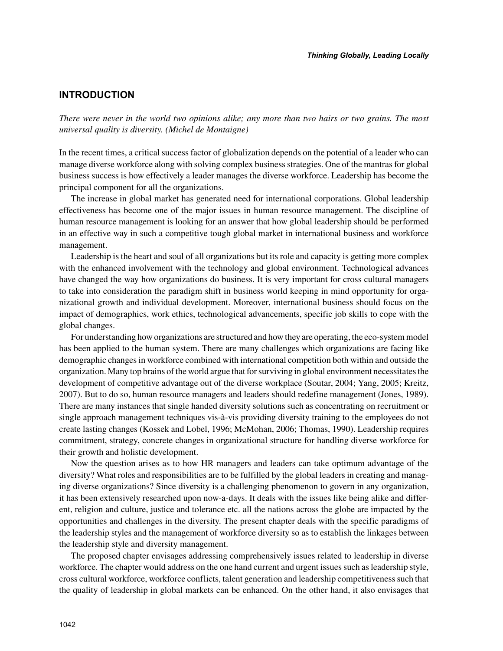# **INTRODUCTION**

*There were never in the world two opinions alike; any more than two hairs or two grains. The most universal quality is diversity. (Michel de Montaigne)*

In the recent times, a critical success factor of globalization depends on the potential of a leader who can manage diverse workforce along with solving complex business strategies. One of the mantras for global business success is how effectively a leader manages the diverse workforce. Leadership has become the principal component for all the organizations.

The increase in global market has generated need for international corporations. Global leadership effectiveness has become one of the major issues in human resource management. The discipline of human resource management is looking for an answer that how global leadership should be performed in an effective way in such a competitive tough global market in international business and workforce management.

Leadership is the heart and soul of all organizations but its role and capacity is getting more complex with the enhanced involvement with the technology and global environment. Technological advances have changed the way how organizations do business. It is very important for cross cultural managers to take into consideration the paradigm shift in business world keeping in mind opportunity for organizational growth and individual development. Moreover, international business should focus on the impact of demographics, work ethics, technological advancements, specific job skills to cope with the global changes.

For understanding how organizations are structured and how they are operating, the eco-system model has been applied to the human system. There are many challenges which organizations are facing like demographic changes in workforce combined with international competition both within and outside the organization. Many top brains of the world argue that for surviving in global environment necessitates the development of competitive advantage out of the diverse workplace (Soutar, 2004; Yang, 2005; Kreitz, 2007). But to do so, human resource managers and leaders should redefine management (Jones, 1989). There are many instances that single handed diversity solutions such as concentrating on recruitment or single approach management techniques vis-à-vis providing diversity training to the employees do not create lasting changes (Kossek and Lobel, 1996; McMohan, 2006; Thomas, 1990). Leadership requires commitment, strategy, concrete changes in organizational structure for handling diverse workforce for their growth and holistic development.

Now the question arises as to how HR managers and leaders can take optimum advantage of the diversity? What roles and responsibilities are to be fulfilled by the global leaders in creating and managing diverse organizations? Since diversity is a challenging phenomenon to govern in any organization, it has been extensively researched upon now-a-days. It deals with the issues like being alike and different, religion and culture, justice and tolerance etc. all the nations across the globe are impacted by the opportunities and challenges in the diversity. The present chapter deals with the specific paradigms of the leadership styles and the management of workforce diversity so as to establish the linkages between the leadership style and diversity management.

The proposed chapter envisages addressing comprehensively issues related to leadership in diverse workforce. The chapter would address on the one hand current and urgent issues such as leadership style, cross cultural workforce, workforce conflicts, talent generation and leadership competitiveness such that the quality of leadership in global markets can be enhanced. On the other hand, it also envisages that